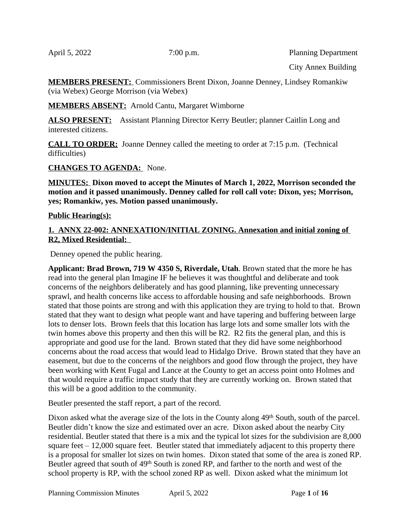April 5, 2022 7:00 p.m. Planning Department

City Annex Building

**MEMBERS PRESENT:** Commissioners Brent Dixon, Joanne Denney, Lindsey Romankiw (via Webex) George Morrison (via Webex)

**MEMBERS ABSENT:** Arnold Cantu, Margaret Wimborne

**ALSO PRESENT:** Assistant Planning Director Kerry Beutler; planner Caitlin Long and interested citizens.

**CALL TO ORDER:** Joanne Denney called the meeting to order at 7:15 p.m. (Technical difficulties)

**CHANGES TO AGENDA:** None.

**MINUTES: Dixon moved to accept the Minutes of March 1, 2022, Morrison seconded the motion and it passed unanimously. Denney called for roll call vote: Dixon, yes; Morrison, yes; Romankiw, yes. Motion passed unanimously.** 

## **Public Hearing(s):**

### **1. ANNX 22-002: ANNEXATION/INITIAL ZONING. Annexation and initial zoning of R2, Mixed Residential:**

Denney opened the public hearing.

**Applicant: Brad Brown, 719 W 4350 S, Riverdale, Utah**. Brown stated that the more he has read into the general plan Imagine IF he believes it was thoughtful and deliberate and took concerns of the neighbors deliberately and has good planning, like preventing unnecessary sprawl, and health concerns like access to affordable housing and safe neighborhoods. Brown stated that those points are strong and with this application they are trying to hold to that. Brown stated that they want to design what people want and have tapering and buffering between large lots to denser lots. Brown feels that this location has large lots and some smaller lots with the twin homes above this property and then this will be R2. R2 fits the general plan, and this is appropriate and good use for the land. Brown stated that they did have some neighborhood concerns about the road access that would lead to Hidalgo Drive. Brown stated that they have an easement, but due to the concerns of the neighbors and good flow through the project, they have been working with Kent Fugal and Lance at the County to get an access point onto Holmes and that would require a traffic impact study that they are currently working on. Brown stated that this will be a good addition to the community.

Beutler presented the staff report, a part of the record.

Dixon asked what the average size of the lots in the County along 49<sup>th</sup> South, south of the parcel. Beutler didn't know the size and estimated over an acre. Dixon asked about the nearby City residential. Beutler stated that there is a mix and the typical lot sizes for the subdivision are 8,000 square feet  $-12,000$  square feet. Beutler stated that immediately adjacent to this property there is a proposal for smaller lot sizes on twin homes. Dixon stated that some of the area is zoned RP. Beutler agreed that south of 49th South is zoned RP, and farther to the north and west of the school property is RP, with the school zoned RP as well. Dixon asked what the minimum lot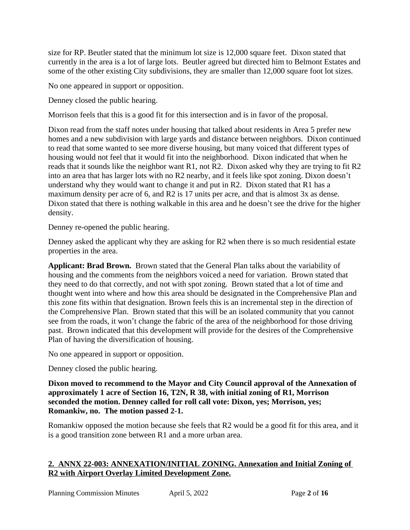size for RP. Beutler stated that the minimum lot size is 12,000 square feet. Dixon stated that currently in the area is a lot of large lots. Beutler agreed but directed him to Belmont Estates and some of the other existing City subdivisions, they are smaller than 12,000 square foot lot sizes.

No one appeared in support or opposition.

Denney closed the public hearing.

Morrison feels that this is a good fit for this intersection and is in favor of the proposal.

Dixon read from the staff notes under housing that talked about residents in Area 5 prefer new homes and a new subdivision with large yards and distance between neighbors. Dixon continued to read that some wanted to see more diverse housing, but many voiced that different types of housing would not feel that it would fit into the neighborhood. Dixon indicated that when he reads that it sounds like the neighbor want R1, not R2. Dixon asked why they are trying to fit R2 into an area that has larger lots with no R2 nearby, and it feels like spot zoning. Dixon doesn't understand why they would want to change it and put in R2. Dixon stated that R1 has a maximum density per acre of 6, and R2 is 17 units per acre, and that is almost 3x as dense. Dixon stated that there is nothing walkable in this area and he doesn't see the drive for the higher density.

Denney re-opened the public hearing.

Denney asked the applicant why they are asking for R2 when there is so much residential estate properties in the area.

**Applicant: Brad Brown.** Brown stated that the General Plan talks about the variability of housing and the comments from the neighbors voiced a need for variation. Brown stated that they need to do that correctly, and not with spot zoning. Brown stated that a lot of time and thought went into where and how this area should be designated in the Comprehensive Plan and this zone fits within that designation. Brown feels this is an incremental step in the direction of the Comprehensive Plan. Brown stated that this will be an isolated community that you cannot see from the roads, it won't change the fabric of the area of the neighborhood for those driving past. Brown indicated that this development will provide for the desires of the Comprehensive Plan of having the diversification of housing.

No one appeared in support or opposition.

Denney closed the public hearing.

**Dixon moved to recommend to the Mayor and City Council approval of the Annexation of approximately 1 acre of Section 16, T2N, R 38, with initial zoning of R1, Morrison seconded the motion. Denney called for roll call vote: Dixon, yes; Morrison, yes; Romankiw, no. The motion passed 2-1.**

Romankiw opposed the motion because she feels that R2 would be a good fit for this area, and it is a good transition zone between R1 and a more urban area.

## **2. ANNX 22-003: ANNEXATION/INITIAL ZONING. Annexation and Initial Zoning of R2 with Airport Overlay Limited Development Zone.**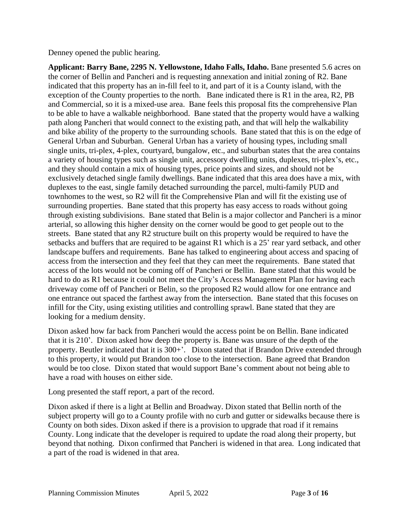Denney opened the public hearing.

**Applicant: Barry Bane, 2295 N. Yellowstone, Idaho Falls, Idaho.** Bane presented 5.6 acres on the corner of Bellin and Pancheri and is requesting annexation and initial zoning of R2. Bane indicated that this property has an in-fill feel to it, and part of it is a County island, with the exception of the County properties to the north. Bane indicated there is R1 in the area, R2, PB and Commercial, so it is a mixed-use area. Bane feels this proposal fits the comprehensive Plan to be able to have a walkable neighborhood. Bane stated that the property would have a walking path along Pancheri that would connect to the existing path, and that will help the walkability and bike ability of the property to the surrounding schools. Bane stated that this is on the edge of General Urban and Suburban. General Urban has a variety of housing types, including small single units, tri-plex, 4-plex, courtyard, bungalow, etc., and suburban states that the area contains a variety of housing types such as single unit, accessory dwelling units, duplexes, tri-plex's, etc., and they should contain a mix of housing types, price points and sizes, and should not be exclusively detached single family dwellings. Bane indicated that this area does have a mix, with duplexes to the east, single family detached surrounding the parcel, multi-family PUD and townhomes to the west, so R2 will fit the Comprehensive Plan and will fit the existing use of surrounding properties. Bane stated that this property has easy access to roads without going through existing subdivisions. Bane stated that Belin is a major collector and Pancheri is a minor arterial, so allowing this higher density on the corner would be good to get people out to the streets. Bane stated that any R2 structure built on this property would be required to have the setbacks and buffers that are required to be against R1 which is a 25' rear yard setback, and other landscape buffers and requirements. Bane has talked to engineering about access and spacing of access from the intersection and they feel that they can meet the requirements. Bane stated that access of the lots would not be coming off of Pancheri or Bellin. Bane stated that this would be hard to do as R1 because it could not meet the City's Access Management Plan for having each driveway come off of Pancheri or Belin, so the proposed R2 would allow for one entrance and one entrance out spaced the farthest away from the intersection. Bane stated that this focuses on infill for the City, using existing utilities and controlling sprawl. Bane stated that they are looking for a medium density.

Dixon asked how far back from Pancheri would the access point be on Bellin. Bane indicated that it is 210'. Dixon asked how deep the property is. Bane was unsure of the depth of the property. Beutler indicated that it is 300+'. Dixon stated that if Brandon Drive extended through to this property, it would put Brandon too close to the intersection. Bane agreed that Brandon would be too close. Dixon stated that would support Bane's comment about not being able to have a road with houses on either side.

Long presented the staff report, a part of the record.

Dixon asked if there is a light at Bellin and Broadway. Dixon stated that Bellin north of the subject property will go to a County profile with no curb and gutter or sidewalks because there is County on both sides. Dixon asked if there is a provision to upgrade that road if it remains County. Long indicate that the developer is required to update the road along their property, but beyond that nothing. Dixon confirmed that Pancheri is widened in that area. Long indicated that a part of the road is widened in that area.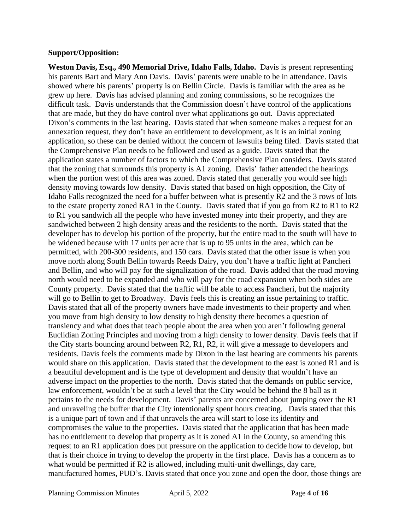#### **Support/Opposition:**

**Weston Davis, Esq., 490 Memorial Drive, Idaho Falls, Idaho.** Davis is present representing his parents Bart and Mary Ann Davis. Davis' parents were unable to be in attendance. Davis showed where his parents' property is on Bellin Circle. Davis is familiar with the area as he grew up here. Davis has advised planning and zoning commissions, so he recognizes the difficult task. Davis understands that the Commission doesn't have control of the applications that are made, but they do have control over what applications go out. Davis appreciated Dixon's comments in the last hearing. Davis stated that when someone makes a request for an annexation request, they don't have an entitlement to development, as it is an initial zoning application, so these can be denied without the concern of lawsuits being filed. Davis stated that the Comprehensive Plan needs to be followed and used as a guide. Davis stated that the application states a number of factors to which the Comprehensive Plan considers. Davis stated that the zoning that surrounds this property is A1 zoning. Davis' father attended the hearings when the portion west of this area was zoned. Davis stated that generally you would see high density moving towards low density. Davis stated that based on high opposition, the City of Idaho Falls recognized the need for a buffer between what is presently R2 and the 3 rows of lots to the estate property zoned RA1 in the County. Davis stated that if you go from R2 to R1 to R2 to R1 you sandwich all the people who have invested money into their property, and they are sandwiched between 2 high density areas and the residents to the north. Davis stated that the developer has to develop his portion of the property, but the entire road to the south will have to be widened because with 17 units per acre that is up to 95 units in the area, which can be permitted, with 200-300 residents, and 150 cars. Davis stated that the other issue is when you move north along South Bellin towards Reeds Dairy, you don't have a traffic light at Pancheri and Bellin, and who will pay for the signalization of the road. Davis added that the road moving north would need to be expanded and who will pay for the road expansion when both sides are County property. Davis stated that the traffic will be able to access Pancheri, but the majority will go to Bellin to get to Broadway. Davis feels this is creating an issue pertaining to traffic. Davis stated that all of the property owners have made investments to their property and when you move from high density to low density to high density there becomes a question of transiency and what does that teach people about the area when you aren't following general Euclidian Zoning Principles and moving from a high density to lower density. Davis feels that if the City starts bouncing around between R2, R1, R2, it will give a message to developers and residents. Davis feels the comments made by Dixon in the last hearing are comments his parents would share on this application. Davis stated that the development to the east is zoned R1 and is a beautiful development and is the type of development and density that wouldn't have an adverse impact on the properties to the north. Davis stated that the demands on public service, law enforcement, wouldn't be at such a level that the City would be behind the 8 ball as it pertains to the needs for development. Davis' parents are concerned about jumping over the R1 and unraveling the buffer that the City intentionally spent hours creating. Davis stated that this is a unique part of town and if that unravels the area will start to lose its identity and compromises the value to the properties. Davis stated that the application that has been made has no entitlement to develop that property as it is zoned A1 in the County, so amending this request to an R1 application does put pressure on the application to decide how to develop, but that is their choice in trying to develop the property in the first place. Davis has a concern as to what would be permitted if R2 is allowed, including multi-unit dwellings, day care, manufactured homes, PUD's. Davis stated that once you zone and open the door, those things are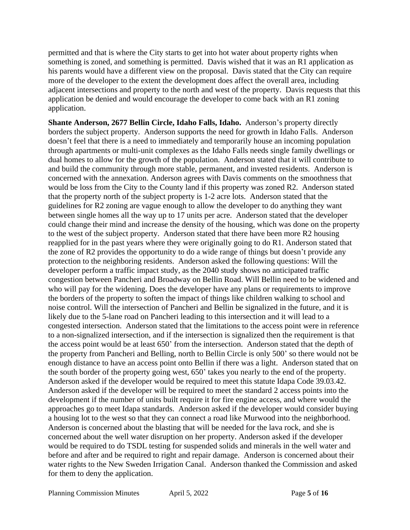permitted and that is where the City starts to get into hot water about property rights when something is zoned, and something is permitted. Davis wished that it was an R1 application as his parents would have a different view on the proposal. Davis stated that the City can require more of the developer to the extent the development does affect the overall area, including adjacent intersections and property to the north and west of the property. Davis requests that this application be denied and would encourage the developer to come back with an R1 zoning application.

**Shante Anderson, 2677 Bellin Circle, Idaho Falls, Idaho.** Anderson's property directly borders the subject property. Anderson supports the need for growth in Idaho Falls. Anderson doesn't feel that there is a need to immediately and temporarily house an incoming population through apartments or multi-unit complexes as the Idaho Falls needs single family dwellings or dual homes to allow for the growth of the population. Anderson stated that it will contribute to and build the community through more stable, permanent, and invested residents. Anderson is concerned with the annexation. Anderson agrees with Davis comments on the smoothness that would be loss from the City to the County land if this property was zoned R2. Anderson stated that the property north of the subject property is 1-2 acre lots. Anderson stated that the guidelines for R2 zoning are vague enough to allow the developer to do anything they want between single homes all the way up to 17 units per acre. Anderson stated that the developer could change their mind and increase the density of the housing, which was done on the property to the west of the subject property. Anderson stated that there have been more R2 housing reapplied for in the past years where they were originally going to do R1. Anderson stated that the zone of R2 provides the opportunity to do a wide range of things but doesn't provide any protection to the neighboring residents. Anderson asked the following questions: Will the developer perform a traffic impact study, as the 2040 study shows no anticipated traffic congestion between Pancheri and Broadway on Bellin Road. Will Bellin need to be widened and who will pay for the widening. Does the developer have any plans or requirements to improve the borders of the property to soften the impact of things like children walking to school and noise control. Will the intersection of Pancheri and Bellin be signalized in the future, and it is likely due to the 5-lane road on Pancheri leading to this intersection and it will lead to a congested intersection. Anderson stated that the limitations to the access point were in reference to a non-signalized intersection, and if the intersection is signalized then the requirement is that the access point would be at least 650' from the intersection. Anderson stated that the depth of the property from Pancheri and Belling, north to Bellin Circle is only 500' so there would not be enough distance to have an access point onto Bellin if there was a light. Anderson stated that on the south border of the property going west, 650' takes you nearly to the end of the property. Anderson asked if the developer would be required to meet this statute Idapa Code 39.03.42. Anderson asked if the developer will be required to meet the standard 2 access points into the development if the number of units built require it for fire engine access, and where would the approaches go to meet Idapa standards. Anderson asked if the developer would consider buying a housing lot to the west so that they can connect a road like Murwood into the neighborhood. Anderson is concerned about the blasting that will be needed for the lava rock, and she is concerned about the well water disruption on her property. Anderson asked if the developer would be required to do TSDL testing for suspended solids and minerals in the well water and before and after and be required to right and repair damage. Anderson is concerned about their water rights to the New Sweden Irrigation Canal. Anderson thanked the Commission and asked for them to deny the application.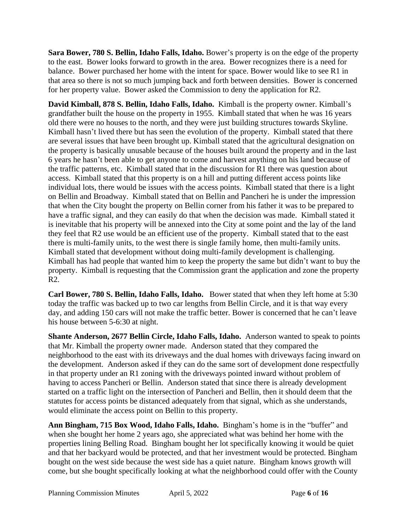**Sara Bower, 780 S. Bellin, Idaho Falls, Idaho.** Bower's property is on the edge of the property to the east. Bower looks forward to growth in the area. Bower recognizes there is a need for balance. Bower purchased her home with the intent for space. Bower would like to see R1 in that area so there is not so much jumping back and forth between densities. Bower is concerned for her property value. Bower asked the Commission to deny the application for R2.

**David Kimball, 878 S. Bellin, Idaho Falls, Idaho.** Kimball is the property owner. Kimball's grandfather built the house on the property in 1955. Kimball stated that when he was 16 years old there were no houses to the north, and they were just building structures towards Skyline. Kimball hasn't lived there but has seen the evolution of the property. Kimball stated that there are several issues that have been brought up. Kimball stated that the agricultural designation on the property is basically unusable because of the houses built around the property and in the last 6 years he hasn't been able to get anyone to come and harvest anything on his land because of the traffic patterns, etc. Kimball stated that in the discussion for R1 there was question about access. Kimball stated that this property is on a hill and putting different access points like individual lots, there would be issues with the access points. Kimball stated that there is a light on Bellin and Broadway. Kimball stated that on Bellin and Pancheri he is under the impression that when the City bought the property on Bellin corner from his father it was to be prepared to have a traffic signal, and they can easily do that when the decision was made. Kimball stated it is inevitable that his property will be annexed into the City at some point and the lay of the land they feel that R2 use would be an efficient use of the property. Kimball stated that to the east there is multi-family units, to the west there is single family home, then multi-family units. Kimball stated that development without doing multi-family development is challenging. Kimball has had people that wanted him to keep the property the same but didn't want to buy the property. Kimball is requesting that the Commission grant the application and zone the property R2.

**Carl Bower, 780 S. Bellin, Idaho Falls, Idaho.** Bower stated that when they left home at 5:30 today the traffic was backed up to two car lengths from Bellin Circle, and it is that way every day, and adding 150 cars will not make the traffic better. Bower is concerned that he can't leave his house between 5-6:30 at night.

**Shante Anderson, 2677 Bellin Circle, Idaho Falls, Idaho.** Anderson wanted to speak to points that Mr. Kimball the property owner made. Anderson stated that they compared the neighborhood to the east with its driveways and the dual homes with driveways facing inward on the development. Anderson asked if they can do the same sort of development done respectfully in that property under an R1 zoning with the driveways pointed inward without problem of having to access Pancheri or Bellin. Anderson stated that since there is already development started on a traffic light on the intersection of Pancheri and Bellin, then it should deem that the statutes for access points be distanced adequately from that signal, which as she understands, would eliminate the access point on Bellin to this property.

**Ann Bingham, 715 Box Wood, Idaho Falls, Idaho.** Bingham's home is in the "buffer" and when she bought her home 2 years ago, she appreciated what was behind her home with the properties lining Belling Road. Bingham bought her lot specifically knowing it would be quiet and that her backyard would be protected, and that her investment would be protected. Bingham bought on the west side because the west side has a quiet nature. Bingham knows growth will come, but she bought specifically looking at what the neighborhood could offer with the County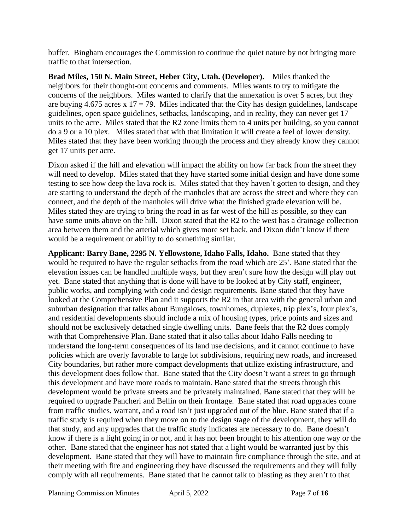buffer. Bingham encourages the Commission to continue the quiet nature by not bringing more traffic to that intersection.

**Brad Miles, 150 N. Main Street, Heber City, Utah. (Developer).** Miles thanked the neighbors for their thought-out concerns and comments. Miles wants to try to mitigate the concerns of the neighbors. Miles wanted to clarify that the annexation is over 5 acres, but they are buying 4.675 acres x 17 = 79. Miles indicated that the City has design guidelines, landscape guidelines, open space guidelines, setbacks, landscaping, and in reality, they can never get 17 units to the acre. Miles stated that the R2 zone limits them to 4 units per building, so you cannot do a 9 or a 10 plex. Miles stated that with that limitation it will create a feel of lower density. Miles stated that they have been working through the process and they already know they cannot get 17 units per acre.

Dixon asked if the hill and elevation will impact the ability on how far back from the street they will need to develop. Miles stated that they have started some initial design and have done some testing to see how deep the lava rock is. Miles stated that they haven't gotten to design, and they are starting to understand the depth of the manholes that are across the street and where they can connect, and the depth of the manholes will drive what the finished grade elevation will be. Miles stated they are trying to bring the road in as far west of the hill as possible, so they can have some units above on the hill. Dixon stated that the R2 to the west has a drainage collection area between them and the arterial which gives more set back, and Dixon didn't know if there would be a requirement or ability to do something similar.

**Applicant: Barry Bane, 2295 N. Yellowstone, Idaho Falls, Idaho.** Bane stated that they would be required to have the regular setbacks from the road which are 25'. Bane stated that the elevation issues can be handled multiple ways, but they aren't sure how the design will play out yet. Bane stated that anything that is done will have to be looked at by City staff, engineer, public works, and complying with code and design requirements. Bane stated that they have looked at the Comprehensive Plan and it supports the R2 in that area with the general urban and suburban designation that talks about Bungalows, townhomes, duplexes, trip plex's, four plex's, and residential developments should include a mix of housing types, price points and sizes and should not be exclusively detached single dwelling units. Bane feels that the R2 does comply with that Comprehensive Plan. Bane stated that it also talks about Idaho Falls needing to understand the long-term consequences of its land use decisions, and it cannot continue to have policies which are overly favorable to large lot subdivisions, requiring new roads, and increased City boundaries, but rather more compact developments that utilize existing infrastructure, and this development does follow that. Bane stated that the City doesn't want a street to go through this development and have more roads to maintain. Bane stated that the streets through this development would be private streets and be privately maintained. Bane stated that they will be required to upgrade Pancheri and Bellin on their frontage. Bane stated that road upgrades come from traffic studies, warrant, and a road isn't just upgraded out of the blue. Bane stated that if a traffic study is required when they move on to the design stage of the development, they will do that study, and any upgrades that the traffic study indicates are necessary to do. Bane doesn't know if there is a light going in or not, and it has not been brought to his attention one way or the other. Bane stated that the engineer has not stated that a light would be warranted just by this development. Bane stated that they will have to maintain fire compliance through the site, and at their meeting with fire and engineering they have discussed the requirements and they will fully comply with all requirements. Bane stated that he cannot talk to blasting as they aren't to that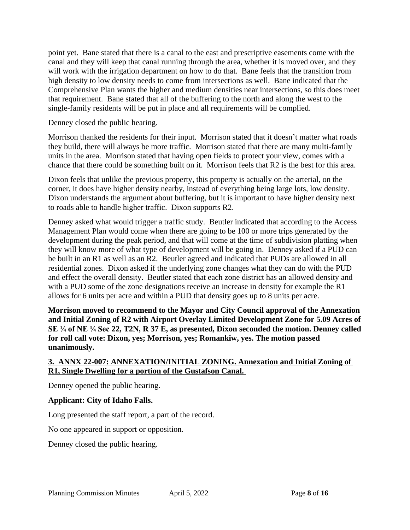point yet. Bane stated that there is a canal to the east and prescriptive easements come with the canal and they will keep that canal running through the area, whether it is moved over, and they will work with the irrigation department on how to do that. Bane feels that the transition from high density to low density needs to come from intersections as well. Bane indicated that the Comprehensive Plan wants the higher and medium densities near intersections, so this does meet that requirement. Bane stated that all of the buffering to the north and along the west to the single-family residents will be put in place and all requirements will be complied.

Denney closed the public hearing.

Morrison thanked the residents for their input. Morrison stated that it doesn't matter what roads they build, there will always be more traffic. Morrison stated that there are many multi-family units in the area. Morrison stated that having open fields to protect your view, comes with a chance that there could be something built on it. Morrison feels that R2 is the best for this area.

Dixon feels that unlike the previous property, this property is actually on the arterial, on the corner, it does have higher density nearby, instead of everything being large lots, low density. Dixon understands the argument about buffering, but it is important to have higher density next to roads able to handle higher traffic. Dixon supports R2.

Denney asked what would trigger a traffic study. Beutler indicated that according to the Access Management Plan would come when there are going to be 100 or more trips generated by the development during the peak period, and that will come at the time of subdivision platting when they will know more of what type of development will be going in. Denney asked if a PUD can be built in an R1 as well as an R2. Beutler agreed and indicated that PUDs are allowed in all residential zones. Dixon asked if the underlying zone changes what they can do with the PUD and effect the overall density. Beutler stated that each zone district has an allowed density and with a PUD some of the zone designations receive an increase in density for example the R1 allows for 6 units per acre and within a PUD that density goes up to 8 units per acre.

**Morrison moved to recommend to the Mayor and City Council approval of the Annexation and Initial Zoning of R2 with Airport Overlay Limited Development Zone for 5.09 Acres of SE ¼ of NE ¼ Sec 22, T2N, R 37 E, as presented, Dixon seconded the motion. Denney called for roll call vote: Dixon, yes; Morrison, yes; Romankiw, yes. The motion passed unanimously.** 

## **3. ANNX 22-007: ANNEXATION/INITIAL ZONING. Annexation and Initial Zoning of R1, Single Dwelling for a portion of the Gustafson Canal.**

Denney opened the public hearing.

## **Applicant: City of Idaho Falls.**

Long presented the staff report, a part of the record.

No one appeared in support or opposition.

Denney closed the public hearing.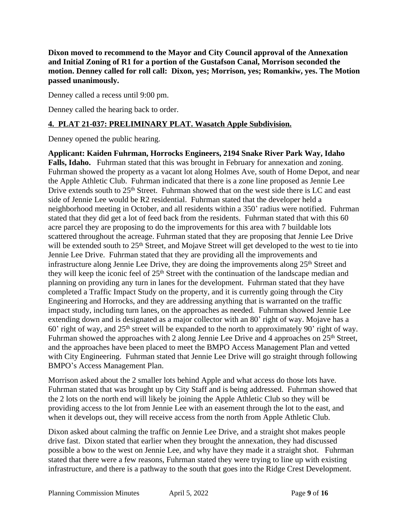**Dixon moved to recommend to the Mayor and City Council approval of the Annexation and Initial Zoning of R1 for a portion of the Gustafson Canal, Morrison seconded the motion. Denney called for roll call: Dixon, yes; Morrison, yes; Romankiw, yes. The Motion passed unanimously.** 

Denney called a recess until 9:00 pm.

Denney called the hearing back to order.

# **4. PLAT 21-037: PRELIMINARY PLAT. Wasatch Apple Subdivision.**

Denney opened the public hearing.

**Applicant: Kaiden Fuhrman, Horrocks Engineers, 2194 Snake River Park Way, Idaho Falls, Idaho.** Fuhrman stated that this was brought in February for annexation and zoning. Fuhrman showed the property as a vacant lot along Holmes Ave, south of Home Depot, and near the Apple Athletic Club. Fuhrman indicated that there is a zone line proposed as Jennie Lee Drive extends south to 25<sup>th</sup> Street. Fuhrman showed that on the west side there is LC and east side of Jennie Lee would be R2 residential. Fuhrman stated that the developer held a neighborhood meeting in October, and all residents within a 350' radius were notified. Fuhrman stated that they did get a lot of feed back from the residents. Fuhrman stated that with this 60 acre parcel they are proposing to do the improvements for this area with 7 buildable lots scattered throughout the acreage. Fuhrman stated that they are proposing that Jennie Lee Drive will be extended south to 25<sup>th</sup> Street, and Mojave Street will get developed to the west to tie into Jennie Lee Drive. Fuhrman stated that they are providing all the improvements and infrastructure along Jennie Lee Drive, they are doing the improvements along 25<sup>th</sup> Street and they will keep the iconic feel of 25<sup>th</sup> Street with the continuation of the landscape median and planning on providing any turn in lanes for the development. Fuhrman stated that they have completed a Traffic Impact Study on the property, and it is currently going through the City Engineering and Horrocks, and they are addressing anything that is warranted on the traffic impact study, including turn lanes, on the approaches as needed. Fuhrman showed Jennie Lee extending down and is designated as a major collector with an 80' right of way. Mojave has a 60' right of way, and  $25<sup>th</sup>$  street will be expanded to the north to approximately 90' right of way. Fuhrman showed the approaches with 2 along Jennie Lee Drive and 4 approaches on 25<sup>th</sup> Street, and the approaches have been placed to meet the BMPO Access Management Plan and vetted with City Engineering. Fuhrman stated that Jennie Lee Drive will go straight through following BMPO's Access Management Plan.

Morrison asked about the 2 smaller lots behind Apple and what access do those lots have. Fuhrman stated that was brought up by City Staff and is being addressed. Fuhrman showed that the 2 lots on the north end will likely be joining the Apple Athletic Club so they will be providing access to the lot from Jennie Lee with an easement through the lot to the east, and when it develops out, they will receive access from the north from Apple Athletic Club.

Dixon asked about calming the traffic on Jennie Lee Drive, and a straight shot makes people drive fast. Dixon stated that earlier when they brought the annexation, they had discussed possible a bow to the west on Jennie Lee, and why have they made it a straight shot. Fuhrman stated that there were a few reasons, Fuhrman stated they were trying to line up with existing infrastructure, and there is a pathway to the south that goes into the Ridge Crest Development.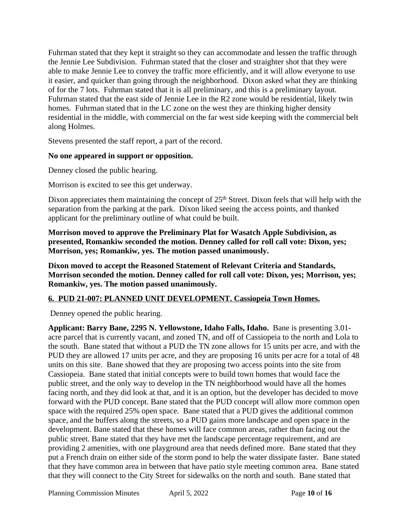Fuhrman stated that they kept it straight so they can accommodate and lessen the traffic through the Jennie Lee Subdivision. Fuhrman stated that the closer and straighter shot that they were able to make Jennie Lee to convey the traffic more efficiently, and it will allow everyone to use it easier, and quicker than going through the neighborhood. Dixon asked what they are thinking of for the 7 lots. Fuhrman stated that it is all preliminary, and this is a preliminary layout. Fuhrman stated that the east side of Jennie Lee in the R2 zone would be residential, likely twin homes. Fuhrman stated that in the LC zone on the west they are thinking higher density residential in the middle, with commercial on the far west side keeping with the commercial belt along Holmes.

Stevens presented the staff report, a part of the record.

#### **No one appeared in support or opposition.**

Denney closed the public hearing.

Morrison is excited to see this get underway.

Dixon appreciates them maintaining the concept of 25<sup>th</sup> Street. Dixon feels that will help with the separation from the parking at the park. Dixon liked seeing the access points, and thanked applicant for the preliminary outline of what could be built.

**Morrison moved to approve the Preliminary Plat for Wasatch Apple Subdivision, as presented, Romankiw seconded the motion. Denney called for roll call vote: Dixon, yes; Morrison, yes; Romankiw, yes. The motion passed unanimously.** 

**Dixon moved to accept the Reasoned Statement of Relevant Criteria and Standards, Morrison seconded the motion. Denney called for roll call vote: Dixon, yes; Morrison, yes; Romankiw, yes. The motion passed unanimously.** 

## **6. PUD 21-007: PLANNED UNIT DEVELOPMENT. Cassiopeia Town Homes.**

Denney opened the public hearing.

**Applicant: Barry Bane, 2295 N. Yellowstone, Idaho Falls, Idaho.** Bane is presenting 3.01 acre parcel that is currently vacant, and zoned TN, and off of Cassiopeia to the north and Lola to the south. Bane stated that without a PUD the TN zone allows for 15 units per acre, and with the PUD they are allowed 17 units per acre, and they are proposing 16 units per acre for a total of 48 units on this site. Bane showed that they are proposing two access points into the site from Cassiopeia. Bane stated that initial concepts were to build town homes that would face the public street, and the only way to develop in the TN neighborhood would have all the homes facing north, and they did look at that, and it is an option, but the developer has decided to move forward with the PUD concept. Bane stated that the PUD concept will allow more common open space with the required 25% open space. Bane stated that a PUD gives the additional common space, and the buffers along the streets, so a PUD gains more landscape and open space in the development. Bane stated that these homes will face common areas, rather than facing out the public street. Bane stated that they have met the landscape percentage requirement, and are providing 2 amenities, with one playground area that needs defined more. Bane stated that they put a French drain on either side of the storm pond to help the water dissipate faster. Bane stated that they have common area in between that have patio style meeting common area. Bane stated that they will connect to the City Street for sidewalks on the north and south. Bane stated that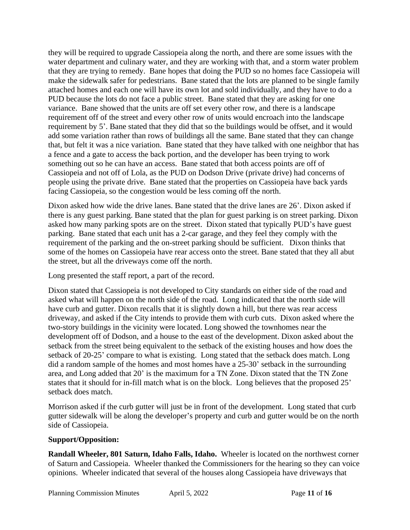they will be required to upgrade Cassiopeia along the north, and there are some issues with the water department and culinary water, and they are working with that, and a storm water problem that they are trying to remedy. Bane hopes that doing the PUD so no homes face Cassiopeia will make the sidewalk safer for pedestrians. Bane stated that the lots are planned to be single family attached homes and each one will have its own lot and sold individually, and they have to do a PUD because the lots do not face a public street. Bane stated that they are asking for one variance. Bane showed that the units are off set every other row, and there is a landscape requirement off of the street and every other row of units would encroach into the landscape requirement by 5'. Bane stated that they did that so the buildings would be offset, and it would add some variation rather than rows of buildings all the same. Bane stated that they can change that, but felt it was a nice variation. Bane stated that they have talked with one neighbor that has a fence and a gate to access the back portion, and the developer has been trying to work something out so he can have an access. Bane stated that both access points are off of Cassiopeia and not off of Lola, as the PUD on Dodson Drive (private drive) had concerns of people using the private drive. Bane stated that the properties on Cassiopeia have back yards facing Cassiopeia, so the congestion would be less coming off the north.

Dixon asked how wide the drive lanes. Bane stated that the drive lanes are 26'. Dixon asked if there is any guest parking. Bane stated that the plan for guest parking is on street parking. Dixon asked how many parking spots are on the street. Dixon stated that typically PUD's have guest parking. Bane stated that each unit has a 2-car garage, and they feel they comply with the requirement of the parking and the on-street parking should be sufficient. Dixon thinks that some of the homes on Cassiopeia have rear access onto the street. Bane stated that they all abut the street, but all the driveways come off the north.

Long presented the staff report, a part of the record.

Dixon stated that Cassiopeia is not developed to City standards on either side of the road and asked what will happen on the north side of the road. Long indicated that the north side will have curb and gutter. Dixon recalls that it is slightly down a hill, but there was rear access driveway, and asked if the City intends to provide them with curb cuts. Dixon asked where the two-story buildings in the vicinity were located. Long showed the townhomes near the development off of Dodson, and a house to the east of the development. Dixon asked about the setback from the street being equivalent to the setback of the existing houses and how does the setback of 20-25' compare to what is existing. Long stated that the setback does match. Long did a random sample of the homes and most homes have a 25-30' setback in the surrounding area, and Long added that 20' is the maximum for a TN Zone. Dixon stated that the TN Zone states that it should for in-fill match what is on the block. Long believes that the proposed 25' setback does match.

Morrison asked if the curb gutter will just be in front of the development. Long stated that curb gutter sidewalk will be along the developer's property and curb and gutter would be on the north side of Cassiopeia.

## **Support/Opposition:**

**Randall Wheeler, 801 Saturn, Idaho Falls, Idaho.** Wheeler is located on the northwest corner of Saturn and Cassiopeia. Wheeler thanked the Commissioners for the hearing so they can voice opinions. Wheeler indicated that several of the houses along Cassiopeia have driveways that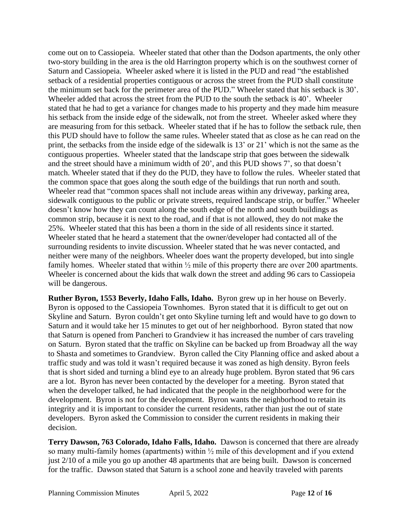come out on to Cassiopeia. Wheeler stated that other than the Dodson apartments, the only other two-story building in the area is the old Harrington property which is on the southwest corner of Saturn and Cassiopeia. Wheeler asked where it is listed in the PUD and read "the established setback of a residential properties contiguous or across the street from the PUD shall constitute the minimum set back for the perimeter area of the PUD." Wheeler stated that his setback is 30'. Wheeler added that across the street from the PUD to the south the setback is 40'. Wheeler stated that he had to get a variance for changes made to his property and they made him measure his setback from the inside edge of the sidewalk, not from the street. Wheeler asked where they are measuring from for this setback. Wheeler stated that if he has to follow the setback rule, then this PUD should have to follow the same rules. Wheeler stated that as close as he can read on the print, the setbacks from the inside edge of the sidewalk is 13' or 21' which is not the same as the contiguous properties. Wheeler stated that the landscape strip that goes between the sidewalk and the street should have a minimum width of 20', and this PUD shows 7', so that doesn't match. Wheeler stated that if they do the PUD, they have to follow the rules. Wheeler stated that the common space that goes along the south edge of the buildings that run north and south. Wheeler read that "common spaces shall not include areas within any driveway, parking area, sidewalk contiguous to the public or private streets, required landscape strip, or buffer." Wheeler doesn't know how they can count along the south edge of the north and south buildings as common strip, because it is next to the road, and if that is not allowed, they do not make the 25%. Wheeler stated that this has been a thorn in the side of all residents since it started. Wheeler stated that he heard a statement that the owner/developer had contacted all of the surrounding residents to invite discussion. Wheeler stated that he was never contacted, and neither were many of the neighbors. Wheeler does want the property developed, but into single family homes. Wheeler stated that within  $\frac{1}{2}$  mile of this property there are over 200 apartments. Wheeler is concerned about the kids that walk down the street and adding 96 cars to Cassiopeia will be dangerous.

**Ruther Byron, 1553 Beverly, Idaho Falls, Idaho.** Byron grew up in her house on Beverly. Byron is opposed to the Cassiopeia Townhomes. Byron stated that it is difficult to get out on Skyline and Saturn. Byron couldn't get onto Skyline turning left and would have to go down to Saturn and it would take her 15 minutes to get out of her neighborhood. Byron stated that now that Saturn is opened from Pancheri to Grandview it has increased the number of cars traveling on Saturn. Byron stated that the traffic on Skyline can be backed up from Broadway all the way to Shasta and sometimes to Grandview. Byron called the City Planning office and asked about a traffic study and was told it wasn't required because it was zoned as high density. Byron feels that is short sided and turning a blind eye to an already huge problem. Byron stated that 96 cars are a lot. Byron has never been contacted by the developer for a meeting. Byron stated that when the developer talked, he had indicated that the people in the neighborhood were for the development. Byron is not for the development. Byron wants the neighborhood to retain its integrity and it is important to consider the current residents, rather than just the out of state developers. Byron asked the Commission to consider the current residents in making their decision.

**Terry Dawson, 763 Colorado, Idaho Falls, Idaho.** Dawson is concerned that there are already so many multi-family homes (apartments) within ½ mile of this development and if you extend just 2/10 of a mile you go up another 48 apartments that are being built. Dawson is concerned for the traffic. Dawson stated that Saturn is a school zone and heavily traveled with parents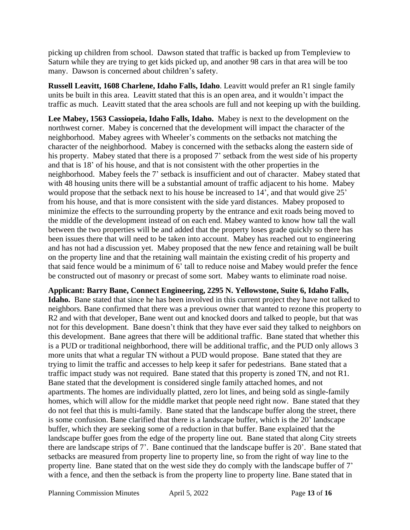picking up children from school. Dawson stated that traffic is backed up from Templeview to Saturn while they are trying to get kids picked up, and another 98 cars in that area will be too many. Dawson is concerned about children's safety.

**Russell Leavitt, 1608 Charlene, Idaho Falls, Idaho**. Leavitt would prefer an R1 single family units be built in this area. Leavitt stated that this is an open area, and it wouldn't impact the traffic as much. Leavitt stated that the area schools are full and not keeping up with the building.

**Lee Mabey, 1563 Cassiopeia, Idaho Falls, Idaho.** Mabey is next to the development on the northwest corner. Mabey is concerned that the development will impact the character of the neighborhood. Mabey agrees with Wheeler's comments on the setbacks not matching the character of the neighborhood. Mabey is concerned with the setbacks along the eastern side of his property. Mabey stated that there is a proposed 7' setback from the west side of his property and that is 18' of his house, and that is not consistent with the other properties in the neighborhood. Mabey feels the 7' setback is insufficient and out of character. Mabey stated that with 48 housing units there will be a substantial amount of traffic adjacent to his home. Mabey would propose that the setback next to his house be increased to 14', and that would give 25' from his house, and that is more consistent with the side yard distances. Mabey proposed to minimize the effects to the surrounding property by the entrance and exit roads being moved to the middle of the development instead of on each end. Mabey wanted to know how tall the wall between the two properties will be and added that the property loses grade quickly so there has been issues there that will need to be taken into account. Mabey has reached out to engineering and has not had a discussion yet. Mabey proposed that the new fence and retaining wall be built on the property line and that the retaining wall maintain the existing credit of his property and that said fence would be a minimum of 6' tall to reduce noise and Mabey would prefer the fence be constructed out of masonry or precast of some sort. Mabey wants to eliminate road noise.

**Applicant: Barry Bane, Connect Engineering, 2295 N. Yellowstone, Suite 6, Idaho Falls, Idaho.** Bane stated that since he has been involved in this current project they have not talked to neighbors. Bane confirmed that there was a previous owner that wanted to rezone this property to R2 and with that developer, Bane went out and knocked doors and talked to people, but that was not for this development. Bane doesn't think that they have ever said they talked to neighbors on this development. Bane agrees that there will be additional traffic. Bane stated that whether this is a PUD or traditional neighborhood, there will be additional traffic, and the PUD only allows 3 more units that what a regular TN without a PUD would propose. Bane stated that they are trying to limit the traffic and accesses to help keep it safer for pedestrians. Bane stated that a traffic impact study was not required. Bane stated that this property is zoned TN, and not R1. Bane stated that the development is considered single family attached homes, and not apartments. The homes are individually platted, zero lot lines, and being sold as single-family homes, which will allow for the middle market that people need right now. Bane stated that they do not feel that this is multi-family. Bane stated that the landscape buffer along the street, there is some confusion. Bane clarified that there is a landscape buffer, which is the 20' landscape buffer, which they are seeking some of a reduction in that buffer. Bane explained that the landscape buffer goes from the edge of the property line out. Bane stated that along City streets there are landscape strips of 7'. Bane continued that the landscape buffer is 20'. Bane stated that setbacks are measured from property line to property line, so from the right of way line to the property line. Bane stated that on the west side they do comply with the landscape buffer of 7' with a fence, and then the setback is from the property line to property line. Bane stated that in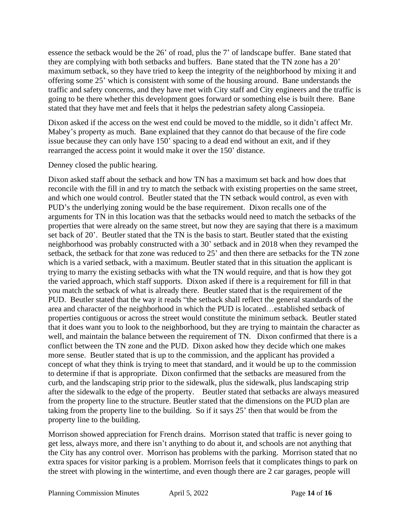essence the setback would be the 26' of road, plus the 7' of landscape buffer. Bane stated that they are complying with both setbacks and buffers. Bane stated that the TN zone has a 20' maximum setback, so they have tried to keep the integrity of the neighborhood by mixing it and offering some 25' which is consistent with some of the housing around. Bane understands the traffic and safety concerns, and they have met with City staff and City engineers and the traffic is going to be there whether this development goes forward or something else is built there. Bane stated that they have met and feels that it helps the pedestrian safety along Cassiopeia.

Dixon asked if the access on the west end could be moved to the middle, so it didn't affect Mr. Mabey's property as much. Bane explained that they cannot do that because of the fire code issue because they can only have 150' spacing to a dead end without an exit, and if they rearranged the access point it would make it over the 150' distance.

Denney closed the public hearing.

Dixon asked staff about the setback and how TN has a maximum set back and how does that reconcile with the fill in and try to match the setback with existing properties on the same street, and which one would control. Beutler stated that the TN setback would control, as even with PUD's the underlying zoning would be the base requirement. Dixon recalls one of the arguments for TN in this location was that the setbacks would need to match the setbacks of the properties that were already on the same street, but now they are saying that there is a maximum set back of 20'. Beutler stated that the TN is the basis to start. Beutler stated that the existing neighborhood was probably constructed with a 30' setback and in 2018 when they revamped the setback, the setback for that zone was reduced to 25' and then there are setbacks for the TN zone which is a varied setback, with a maximum. Beutler stated that in this situation the applicant is trying to marry the existing setbacks with what the TN would require, and that is how they got the varied approach, which staff supports. Dixon asked if there is a requirement for fill in that you match the setback of what is already there. Beutler stated that is the requirement of the PUD. Beutler stated that the way it reads "the setback shall reflect the general standards of the area and character of the neighborhood in which the PUD is located…established setback of properties contiguous or across the street would constitute the minimum setback. Beutler stated that it does want you to look to the neighborhood, but they are trying to maintain the character as well, and maintain the balance between the requirement of TN. Dixon confirmed that there is a conflict between the TN zone and the PUD. Dixon asked how they decide which one makes more sense. Beutler stated that is up to the commission, and the applicant has provided a concept of what they think is trying to meet that standard, and it would be up to the commission to determine if that is appropriate. Dixon confirmed that the setbacks are measured from the curb, and the landscaping strip prior to the sidewalk, plus the sidewalk, plus landscaping strip after the sidewalk to the edge of the property. Beutler stated that setbacks are always measured from the property line to the structure. Beutler stated that the dimensions on the PUD plan are taking from the property line to the building. So if it says 25' then that would be from the property line to the building.

Morrison showed appreciation for French drains. Morrison stated that traffic is never going to get less, always more, and there isn't anything to do about it, and schools are not anything that the City has any control over. Morrison has problems with the parking. Morrison stated that no extra spaces for visitor parking is a problem. Morrison feels that it complicates things to park on the street with plowing in the wintertime, and even though there are 2 car garages, people will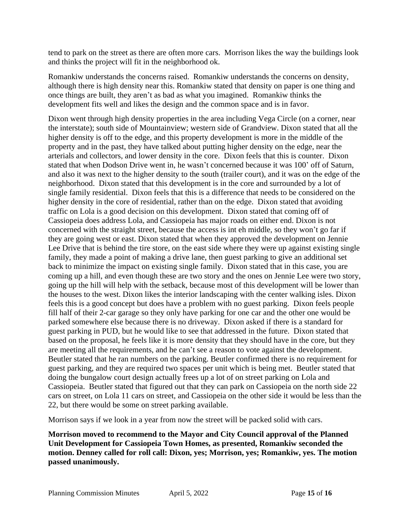tend to park on the street as there are often more cars. Morrison likes the way the buildings look and thinks the project will fit in the neighborhood ok.

Romankiw understands the concerns raised. Romankiw understands the concerns on density, although there is high density near this. Romankiw stated that density on paper is one thing and once things are built, they aren't as bad as what you imagined. Romankiw thinks the development fits well and likes the design and the common space and is in favor.

Dixon went through high density properties in the area including Vega Circle (on a corner, near the interstate); south side of Mountainview; western side of Grandview. Dixon stated that all the higher density is off to the edge, and this property development is more in the middle of the property and in the past, they have talked about putting higher density on the edge, near the arterials and collectors, and lower density in the core. Dixon feels that this is counter. Dixon stated that when Dodson Drive went in, he wasn't concerned because it was 100' off of Saturn, and also it was next to the higher density to the south (trailer court), and it was on the edge of the neighborhood. Dixon stated that this development is in the core and surrounded by a lot of single family residential. Dixon feels that this is a difference that needs to be considered on the higher density in the core of residential, rather than on the edge. Dixon stated that avoiding traffic on Lola is a good decision on this development. Dixon stated that coming off of Cassiopeia does address Lola, and Cassiopeia has major roads on either end. Dixon is not concerned with the straight street, because the access is int eh middle, so they won't go far if they are going west or east. Dixon stated that when they approved the development on Jennie Lee Drive that is behind the tire store, on the east side where they were up against existing single family, they made a point of making a drive lane, then guest parking to give an additional set back to minimize the impact on existing single family. Dixon stated that in this case, you are coming up a hill, and even though these are two story and the ones on Jennie Lee were two story, going up the hill will help with the setback, because most of this development will be lower than the houses to the west. Dixon likes the interior landscaping with the center walking isles. Dixon feels this is a good concept but does have a problem with no guest parking. Dixon feels people fill half of their 2-car garage so they only have parking for one car and the other one would be parked somewhere else because there is no driveway. Dixon asked if there is a standard for guest parking in PUD, but he would like to see that addressed in the future. Dixon stated that based on the proposal, he feels like it is more density that they should have in the core, but they are meeting all the requirements, and he can't see a reason to vote against the development. Beutler stated that he ran numbers on the parking. Beutler confirmed there is no requirement for guest parking, and they are required two spaces per unit which is being met. Beutler stated that doing the bungalow court design actually frees up a lot of on street parking on Lola and Cassiopeia. Beutler stated that figured out that they can park on Cassiopeia on the north side 22 cars on street, on Lola 11 cars on street, and Cassiopeia on the other side it would be less than the 22, but there would be some on street parking available.

Morrison says if we look in a year from now the street will be packed solid with cars.

**Morrison moved to recommend to the Mayor and City Council approval of the Planned Unit Development for Cassiopeia Town Homes, as presented, Romankiw seconded the motion. Denney called for roll call: Dixon, yes; Morrison, yes; Romankiw, yes. The motion passed unanimously.**